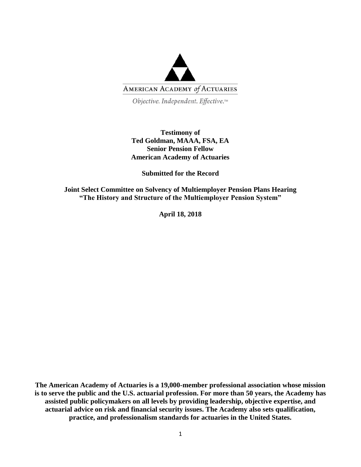

Objective. Independent. Effective.™

# **Testimony of Ted Goldman, MAAA, FSA, EA Senior Pension Fellow American Academy of Actuaries**

**Submitted for the Record**

**Joint Select Committee on Solvency of Multiemployer Pension Plans Hearing "The History and Structure of the Multiemployer Pension System"**

**April 18, 2018**

**The American Academy of Actuaries is a 19,000-member professional association whose mission is to serve the public and the U.S. actuarial profession. For more than 50 years, the Academy has assisted public policymakers on all levels by providing leadership, objective expertise, and actuarial advice on risk and financial security issues. The Academy also sets qualification, practice, and professionalism standards for actuaries in the United States.**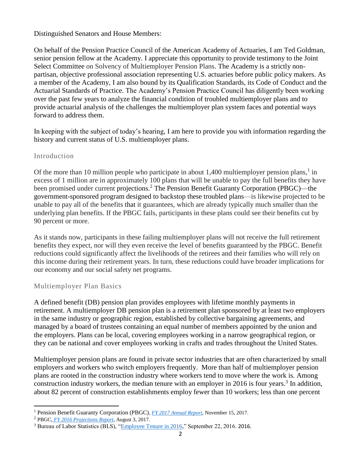Distinguished Senators and House Members:

On behalf of the Pension Practice Council of the American Academy of Actuaries, I am Ted Goldman, senior pension fellow at the Academy. I appreciate this opportunity to provide testimony to the Joint Select Committee on Solvency of Multiemployer Pension Plans. The Academy is a strictly nonpartisan, objective professional association representing U.S. actuaries before public policy makers. As a member of the Academy, I am also bound by its Qualification Standards, its Code of Conduct and the Actuarial Standards of Practice. The Academy's Pension Practice Council has diligently been working over the past few years to analyze the financial condition of troubled multiemployer plans and to provide actuarial analysis of the challenges the multiemployer plan system faces and potential ways forward to address them.

In keeping with the subject of today's hearing, I am here to provide you with information regarding the history and current status of U.S. multiemployer plans.

# Introduction

Of the more than 10 million people who participate in about 1,400 multiemployer pension plans, $1$  in excess of 1 million are in approximately 100 plans that will be unable to pay the full benefits they have been promised under current projections.<sup>2</sup> The Pension Benefit Guaranty Corporation (PBGC)—the government-sponsored program designed to backstop these troubled plans—is likewise projected to be unable to pay all of the benefits that it guarantees, which are already typically much smaller than the underlying plan benefits. If the PBGC fails, participants in these plans could see their benefits cut by 90 percent or more.

As it stands now, participants in these failing multiemployer plans will not receive the full retirement benefits they expect, nor will they even receive the level of benefits guaranteed by the PBGC. Benefit reductions could significantly affect the livelihoods of the retirees and their families who will rely on this income during their retirement years. In turn, these reductions could have broader implications for our economy and our social safety net programs.

# Multiemployer Plan Basics

A defined benefit (DB) pension plan provides employees with lifetime monthly payments in retirement. A multiemployer DB pension plan is a retirement plan sponsored by at least two employers in the same industry or geographic region, established by collective bargaining agreements, and managed by a board of trustees containing an equal number of members appointed by the union and the employers. Plans can be local, covering employees working in a narrow geographical region, or they can be national and cover employees working in crafts and trades throughout the United States.

Multiemployer pension plans are found in private sector industries that are often characterized by small employers and workers who switch employers frequently. More than half of multiemployer pension plans are rooted in the construction industry where workers tend to move where the work is. Among construction industry workers, the median tenure with an employer in 2016 is four years.<sup>3</sup> In addition, about 82 percent of construction establishments employ fewer than 10 workers; less than one percent

 $\overline{a}$ 

<sup>1</sup> Pension Benefit Guaranty Corporation (PBGC), *[FY 2017 Annual Report](https://www.pbgc.gov/sites/default/files/pbgc-annual-report-2017.pdf)*, November 15, 2017.

<sup>2</sup> PBGC, *[FY 2016 Projections Report](https://www.pbgc.gov/sites/default/files/fy-2016-projections-report-final-signed.pdf)*, August 3, 2017.

<sup>&</sup>lt;sup>3</sup> Bureau of Labor Statistics (BLS), ["Employee Tenure in 2016,](https://www.bls.gov/news.release/pdf/tenure.pdf)" September 22, 2016. 2016.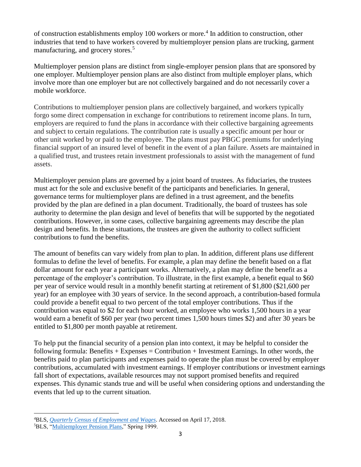of construction establishments employ 100 workers or more.<sup>4</sup> In addition to construction, other industries that tend to have workers covered by multiemployer pension plans are trucking, garment manufacturing, and grocery stores.<sup>5</sup>

Multiemployer pension plans are distinct from single-employer pension plans that are sponsored by one employer. Multiemployer pension plans are also distinct from multiple employer plans, which involve more than one employer but are not collectively bargained and do not necessarily cover a mobile workforce.

Contributions to multiemployer pension plans are collectively bargained, and workers typically forgo some direct compensation in exchange for contributions to retirement income plans. In turn, employers are required to fund the plans in accordance with their collective bargaining agreements and subject to certain regulations. The contribution rate is usually a specific amount per hour or other unit worked by or paid to the employee. The plans must pay PBGC premiums for underlying financial support of an insured level of benefit in the event of a plan failure. Assets are maintained in a qualified trust, and trustees retain investment professionals to assist with the management of fund assets.

Multiemployer pension plans are governed by a joint board of trustees. As fiduciaries, the trustees must act for the sole and exclusive benefit of the participants and beneficiaries. In general, governance terms for multiemployer plans are defined in a trust agreement, and the benefits provided by the plan are defined in a plan document. Traditionally, the board of trustees has sole authority to determine the plan design and level of benefits that will be supported by the negotiated contributions. However, in some cases, collective bargaining agreements may describe the plan design and benefits. In these situations, the trustees are given the authority to collect sufficient contributions to fund the benefits.

The amount of benefits can vary widely from plan to plan. In addition, different plans use different formulas to define the level of benefits. For example, a plan may define the benefit based on a flat dollar amount for each year a participant works. Alternatively, a plan may define the benefit as a percentage of the employer's contribution. To illustrate, in the first example, a benefit equal to \$60 per year of service would result in a monthly benefit starting at retirement of \$1,800 (\$21,600 per year) for an employee with 30 years of service. In the second approach, a contribution-based formula could provide a benefit equal to two percent of the total employer contributions. Thus if the contribution was equal to \$2 for each hour worked, an employee who works 1,500 hours in a year would earn a benefit of \$60 per year (two percent times 1,500 hours times \$2) and after 30 years be entitled to \$1,800 per month payable at retirement.

To help put the financial security of a pension plan into context, it may be helpful to consider the following formula: Benefits  $+$  Expenses  $=$  Contribution  $+$  Investment Earnings. In other words, the benefits paid to plan participants and expenses paid to operate the plan must be covered by employer contributions, accumulated with investment earnings. If employer contributions or investment earnings fall short of expectations, available resources may not support promised benefits and required expenses. This dynamic stands true and will be useful when considering options and understanding the events that led up to the current situation.

 $\overline{a}$ 

<sup>4</sup>BLS, *[Quarterly Census of Employment](https://data.bls.gov/cew/apps/table_maker/v4/table_maker.htm#type=14&year=2015&size=0,1,2,3,4,5,6,7,8,9&hlind=1012&supp=1) and Wages*. Accessed on April 17, 2018.

<sup>5</sup>BLS, ["Multiemployer Pension Plans,](https://www.bls.gov/opub/mlr/cwc/multiemployer-pension-plans.pdf)" Spring 1999.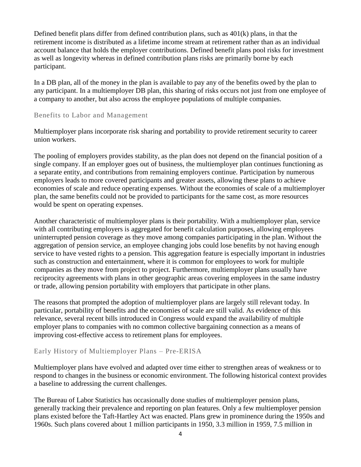Defined benefit plans differ from defined contribution plans, such as  $401(k)$  plans, in that the retirement income is distributed as a lifetime income stream at retirement rather than as an individual account balance that holds the employer contributions. Defined benefit plans pool risks for investment as well as longevity whereas in defined contribution plans risks are primarily borne by each participant.

In a DB plan, all of the money in the plan is available to pay any of the benefits owed by the plan to any participant. In a multiemployer DB plan, this sharing of risks occurs not just from one employee of a company to another, but also across the employee populations of multiple companies.

### Benefits to Labor and Management

Multiemployer plans incorporate risk sharing and portability to provide retirement security to career union workers.

The pooling of employers provides stability, as the plan does not depend on the financial position of a single company. If an employer goes out of business, the multiemployer plan continues functioning as a separate entity, and contributions from remaining employers continue. Participation by numerous employers leads to more covered participants and greater assets, allowing these plans to achieve economies of scale and reduce operating expenses. Without the economies of scale of a multiemployer plan, the same benefits could not be provided to participants for the same cost, as more resources would be spent on operating expenses.

Another characteristic of multiemployer plans is their portability. With a multiemployer plan, service with all contributing employers is aggregated for benefit calculation purposes, allowing employees uninterrupted pension coverage as they move among companies participating in the plan. Without the aggregation of pension service, an employee changing jobs could lose benefits by not having enough service to have vested rights to a pension. This aggregation feature is especially important in industries such as construction and entertainment, where it is common for employees to work for multiple companies as they move from project to project. Furthermore, multiemployer plans usually have reciprocity agreements with plans in other geographic areas covering employees in the same industry or trade, allowing pension portability with employers that participate in other plans.

The reasons that prompted the adoption of multiemployer plans are largely still relevant today. In particular, portability of benefits and the economies of scale are still valid. As evidence of this relevance, several recent bills introduced in Congress would expand the availability of multiple employer plans to companies with no common collective bargaining connection as a means of improving cost-effective access to retirement plans for employees.

### Early History of Multiemployer Plans – Pre-ERISA

Multiemployer plans have evolved and adapted over time either to strengthen areas of weakness or to respond to changes in the business or economic environment. The following historical context provides a baseline to addressing the current challenges.

The Bureau of Labor Statistics has occasionally done studies of multiemployer pension plans, generally tracking their prevalence and reporting on plan features. Only a few multiemployer pension plans existed before the Taft-Hartley Act was enacted. Plans grew in prominence during the 1950s and 1960s. Such plans covered about 1 million participants in 1950, 3.3 million in 1959, 7.5 million in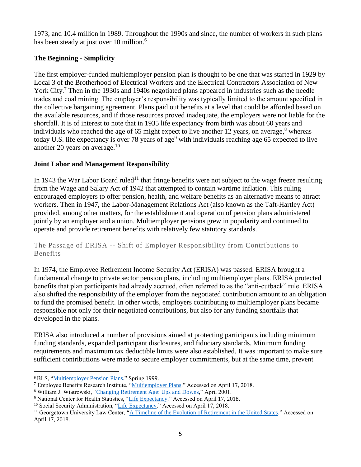1973, and 10.4 million in 1989. Throughout the 1990s and since, the number of workers in such plans has been steady at just over 10 million.<sup>6</sup>

# **The Beginning - Simplicity**

The first employer-funded multiemployer pension plan is thought to be one that was started in 1929 by Local 3 of the Brotherhood of Electrical Workers and the Electrical Contractors Association of New York City.<sup>7</sup> Then in the 1930s and 1940s negotiated plans appeared in industries such as the needle trades and coal mining. The employer's responsibility was typically limited to the amount specified in the collective bargaining agreement. Plans paid out benefits at a level that could be afforded based on the available resources, and if those resources proved inadequate, the employers were not liable for the shortfall. It is of interest to note that in 1935 life expectancy from birth was about 60 years and individuals who reached the age of 65 might expect to live another 12 years, on average, $8$  whereas today U.S. life expectancy is over 78 years of age<sup>9</sup> with individuals reaching age 65 expected to live another 20 years on average.<sup>10</sup>

# **Joint Labor and Management Responsibility**

In 1943 the War Labor Board ruled<sup>11</sup> that fringe benefits were not subject to the wage freeze resulting from the Wage and Salary Act of 1942 that attempted to contain wartime inflation. This ruling encouraged employers to offer pension, health, and welfare benefits as an alternative means to attract workers. Then in 1947, the Labor-Management Relations Act (also known as the Taft-Hartley Act) provided, among other matters, for the establishment and operation of pension plans administered jointly by an employer and a union. Multiemployer pensions grew in popularity and continued to operate and provide retirement benefits with relatively few statutory standards.

# The Passage of ERISA -- Shift of Employer Responsibility from Contributions to Benefits

In 1974, the Employee Retirement Income Security Act (ERISA) was passed. ERISA brought a fundamental change to private sector pension plans, including multiemployer plans. ERISA protected benefits that plan participants had already accrued, often referred to as the "anti-cutback" rule. ERISA also shifted the responsibility of the employer from the negotiated contribution amount to an obligation to fund the promised benefit. In other words, employers contributing to multiemployer plans became responsible not only for their negotiated contributions, but also for any funding shortfalls that developed in the plans.

ERISA also introduced a number of provisions aimed at protecting participants including minimum funding standards, expanded participant disclosures, and fiduciary standards. Minimum funding requirements and maximum tax deductible limits were also established. It was important to make sure sufficient contributions were made to secure employer commitments, but at the same time, prevent

 $\overline{a}$ 

<sup>6</sup> BLS, ["Multiemployer Pension Plans,](https://www.bls.gov/opub/mlr/cwc/multiemployer-pension-plans.pdf)" Spring 1999.

<sup>7</sup> Employee Benefits Research Institute, ["Multiemployer Plans.](https://www.ebri.org/pdf/publications/books/fundamentals/fund14.pdf)" Accessed on April 17, 2018.

<sup>8</sup> William J. Wiatrowski, ["Changing Retirement Age: Ups and Downs,"](https://www.bls.gov/opub/mlr/2001/04/art1full.pdf) April 2001.

<sup>&</sup>lt;sup>9</sup> National Center for Health Statistics, ["Life Expectancy.](https://www.cdc.gov/nchs/fastats/life-expectancy.htm)" Accessed on April 17, 2018.

<sup>&</sup>lt;sup>10</sup> Social Security Administration, ["Life Expectancy.](https://www.ssa.gov/planners/lifeexpectancy.html)" Accessed on April 17, 2018.

<sup>&</sup>lt;sup>11</sup> Georgetown University Law Center, ["A Timeline of the Evolution of Retirement in the United States.](https://scholarship.law.georgetown.edu/cgi/viewcontent.cgi?article=1049&context=legal)" Accessed on April 17, 2018.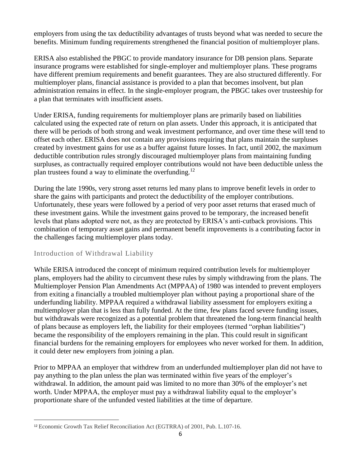employers from using the tax deductibility advantages of trusts beyond what was needed to secure the benefits. Minimum funding requirements strengthened the financial position of multiemployer plans.

ERISA also established the PBGC to provide mandatory insurance for DB pension plans. Separate insurance programs were established for single-employer and multiemployer plans. These programs have different premium requirements and benefit guarantees. They are also structured differently. For multiemployer plans, financial assistance is provided to a plan that becomes insolvent, but plan administration remains in effect. In the single-employer program, the PBGC takes over trusteeship for a plan that terminates with insufficient assets.

Under ERISA, funding requirements for multiemployer plans are primarily based on liabilities calculated using the expected rate of return on plan assets. Under this approach, it is anticipated that there will be periods of both strong and weak investment performance, and over time these will tend to offset each other. ERISA does not contain any provisions requiring that plans maintain the surpluses created by investment gains for use as a buffer against future losses. In fact, until 2002, the maximum deductible contribution rules strongly discouraged multiemployer plans from maintaining funding surpluses, as contractually required employer contributions would not have been deductible unless the plan trustees found a way to eliminate the overfunding.<sup>12</sup>

During the late 1990s, very strong asset returns led many plans to improve benefit levels in order to share the gains with participants and protect the deductibility of the employer contributions. Unfortunately, these years were followed by a period of very poor asset returns that erased much of these investment gains. While the investment gains proved to be temporary, the increased benefit levels that plans adopted were not, as they are protected by ERISA's anti-cutback provisions. This combination of temporary asset gains and permanent benefit improvements is a contributing factor in the challenges facing multiemployer plans today.

# Introduction of Withdrawal Liability

 $\overline{a}$ 

While ERISA introduced the concept of minimum required contribution levels for multiemployer plans, employers had the ability to circumvent these rules by simply withdrawing from the plans. The Multiemployer Pension Plan Amendments Act (MPPAA) of 1980 was intended to prevent employers from exiting a financially a troubled multiemployer plan without paying a proportional share of the underfunding liability. MPPAA required a withdrawal liability assessment for employers exiting a multiemployer plan that is less than fully funded. At the time, few plans faced severe funding issues, but withdrawals were recognized as a potential problem that threatened the long-term financial health of plans because as employers left, the liability for their employees (termed "orphan liabilities") became the responsibility of the employers remaining in the plan. This could result in significant financial burdens for the remaining employers for employees who never worked for them. In addition, it could deter new employers from joining a plan.

Prior to MPPAA an employer that withdrew from an underfunded multiemployer plan did not have to pay anything to the plan unless the plan was terminated within five years of the employer's withdrawal. In addition, the amount paid was limited to no more than 30% of the employer's net worth. Under MPPAA, the employer must pay a withdrawal liability equal to the employer's proportionate share of the unfunded vested liabilities at the time of departure.

<sup>12</sup> Economic Growth Tax Relief Reconciliation Act (EGTRRA) of 2001, Pub. L.107-16.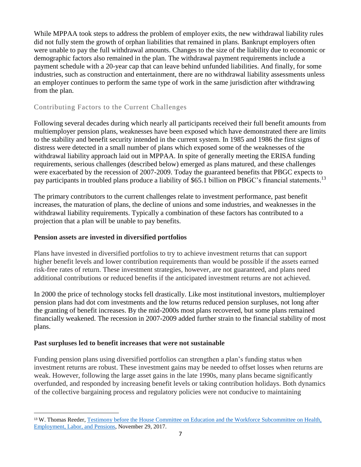While MPPAA took steps to address the problem of employer exits, the new withdrawal liability rules did not fully stem the growth of orphan liabilities that remained in plans. Bankrupt employers often were unable to pay the full withdrawal amounts. Changes to the size of the liability due to economic or demographic factors also remained in the plan. The withdrawal payment requirements include a payment schedule with a 20-year cap that can leave behind unfunded liabilities. And finally, for some industries, such as construction and entertainment, there are no withdrawal liability assessments unless an employer continues to perform the same type of work in the same jurisdiction after withdrawing from the plan.

# Contributing Factors to the Current Challenges

Following several decades during which nearly all participants received their full benefit amounts from multiemployer pension plans, weaknesses have been exposed which have demonstrated there are limits to the stability and benefit security intended in the current system. In 1985 and 1986 the first signs of distress were detected in a small number of plans which exposed some of the weaknesses of the withdrawal liability approach laid out in MPPAA. In spite of generally meeting the ERISA funding requirements, serious challenges (described below) emerged as plans matured, and these challenges were exacerbated by the recession of 2007-2009. Today the guaranteed benefits that PBGC expects to pay participants in troubled plans produce a liability of \$65.1 billion on PBGC's financial statements.<sup>13</sup>

The primary contributors to the current challenges relate to investment performance, past benefit increases, the maturation of plans, the decline of unions and some industries, and weaknesses in the withdrawal liability requirements. Typically a combination of these factors has contributed to a projection that a plan will be unable to pay benefits.

### **Pension assets are invested in diversified portfolios**

Plans have invested in diversified portfolios to try to achieve investment returns that can support higher benefit levels and lower contribution requirements than would be possible if the assets earned risk-free rates of return. These investment strategies, however, are not guaranteed, and plans need additional contributions or reduced benefits if the anticipated investment returns are not achieved.

In 2000 the price of technology stocks fell drastically. Like most institutional investors, multiemployer pension plans had dot com investments and the low returns reduced pension surpluses, not long after the granting of benefit increases. By the mid-2000s most plans recovered, but some plans remained financially weakened. The recession in 2007-2009 added further strain to the financial stability of most plans.

### **Past surpluses led to benefit increases that were not sustainable**

 $\overline{a}$ 

Funding pension plans using diversified portfolios can strengthen a plan's funding status when investment returns are robust. These investment gains may be needed to offset losses when returns are weak. However, following the large asset gains in the late 1990s, many plans became significantly overfunded, and responded by increasing benefit levels or taking contribution holidays. Both dynamics of the collective bargaining process and regulatory policies were not conducive to maintaining

<sup>13</sup> W. Thomas Reeder, [Testimony before the House Committee on Education and the Workforce Subcommittee on Health,](https://www.pbgc.gov/sites/default/files/pbgc-testimony-ew-help-subcommittee-11-29-2017.pdf)  [Employment, Labor, and Pensions,](https://www.pbgc.gov/sites/default/files/pbgc-testimony-ew-help-subcommittee-11-29-2017.pdf) November 29, 2017.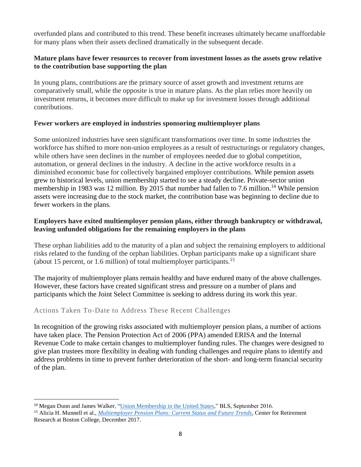overfunded plans and contributed to this trend. These benefit increases ultimately became unaffordable for many plans when their assets declined dramatically in the subsequent decade.

# **Mature plans have fewer resources to recover from investment losses as the assets grow relative to the contribution base supporting the plan**

In young plans, contributions are the primary source of asset growth and investment returns are comparatively small, while the opposite is true in mature plans. As the plan relies more heavily on investment returns, it becomes more difficult to make up for investment losses through additional contributions.

# **Fewer workers are employed in industries sponsoring multiemployer plans**

Some unionized industries have seen significant transformations over time. In some industries the workforce has shifted to more non-union employees as a result of restructurings or regulatory changes, while others have seen declines in the number of employees needed due to global competition, automation, or general declines in the industry. A decline in the active workforce results in a diminished economic base for collectively bargained employer contributions. While pension assets grew to historical levels, union membership started to see a steady decline. Private-sector union membership in 1983 was 12 million. By 2015 that number had fallen to 7.6 million.<sup>14</sup> While pension assets were increasing due to the stock market, the contribution base was beginning to decline due to fewer workers in the plans.

# **Employers have exited multiemployer pension plans, either through bankruptcy or withdrawal, leaving unfunded obligations for the remaining employers in the plans**

These orphan liabilities add to the maturity of a plan and subject the remaining employers to additional risks related to the funding of the orphan liabilities. Orphan participants make up a significant share (about 15 percent, or 1.6 million) of total multiemployer participants.<sup>15</sup>

The majority of multiemployer plans remain healthy and have endured many of the above challenges. However, these factors have created significant stress and pressure on a number of plans and participants which the Joint Select Committee is seeking to address during its work this year.

# Actions Taken To-Date to Address These Recent Challenges

 $\overline{a}$ 

In recognition of the growing risks associated with multiemployer pension plans, a number of actions have taken place. The Pension Protection Act of 2006 (PPA) amended ERISA and the Internal Revenue Code to make certain changes to multiemployer funding rules. The changes were designed to give plan trustees more flexibility in dealing with funding challenges and require plans to identify and address problems in time to prevent further deterioration of the short- and long-term financial security of the plan.

<sup>&</sup>lt;sup>14</sup> Megan Dunn and James Walker, ["Union Membership in the United States,"](https://www.bls.gov/spotlight/2016/union-membership-in-the-united-states/home.htm) BLS, September 2016.

<sup>15</sup> Alicia H. Munnell et al., *[Multiemployer Pension Plans: Current Status and Future Trends](http://crr.bc.edu/wp-content/uploads/2017/12/multiemployer_specialreport_12_23_2017.pdf)*, Center for Retirement Research at Boston College, December 2017.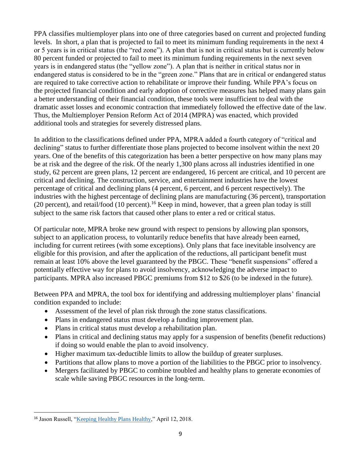PPA classifies multiemployer plans into one of three categories based on current and projected funding levels. In short, a plan that is projected to fail to meet its minimum funding requirements in the next 4 or 5 years is in critical status (the "red zone"). A plan that is not in critical status but is currently below 80 percent funded or projected to fail to meet its minimum funding requirements in the next seven years is in endangered status (the "yellow zone"). A plan that is neither in critical status nor in endangered status is considered to be in the "green zone." Plans that are in critical or endangered status are required to take corrective action to rehabilitate or improve their funding. While PPA's focus on the projected financial condition and early adoption of corrective measures has helped many plans gain a better understanding of their financial condition, these tools were insufficient to deal with the dramatic asset losses and economic contraction that immediately followed the effective date of the law. Thus, the Multiemployer Pension Reform Act of 2014 (MPRA) was enacted, which provided additional tools and strategies for severely distressed plans.

In addition to the classifications defined under PPA, MPRA added a fourth category of "critical and declining" status to further differentiate those plans projected to become insolvent within the next 20 years. One of the benefits of this categorization has been a better perspective on how many plans may be at risk and the degree of the risk. Of the nearly 1,300 plans across all industries identified in one study, 62 percent are green plans, 12 percent are endangered, 16 percent are critical, and 10 percent are critical and declining. The construction, service, and entertainment industries have the lowest percentage of critical and declining plans (4 percent, 6 percent, and 6 percent respectively). The industries with the highest percentage of declining plans are manufacturing (36 percent), transportation (20 percent), and retail/food (10 percent).<sup>16</sup> Keep in mind, however, that a green plan today is still subject to the same risk factors that caused other plans to enter a red or critical status.

Of particular note, MPRA broke new ground with respect to pensions by allowing plan sponsors, subject to an application process, to voluntarily reduce benefits that have already been earned, including for current retirees (with some exceptions). Only plans that face inevitable insolvency are eligible for this provision, and after the application of the reductions, all participant benefit must remain at least 10% above the level guaranteed by the PBGC. These "benefit suspensions" offered a potentially effective way for plans to avoid insolvency, acknowledging the adverse impact to participants. MPRA also increased PBGC premiums from \$12 to \$26 (to be indexed in the future).

Between PPA and MPRA, the tool box for identifying and addressing multiemployer plans' financial condition expanded to include:

- Assessment of the level of plan risk through the zone status classifications.
- Plans in endangered status must develop a funding improvement plan.
- Plans in critical status must develop a rehabilitation plan.
- Plans in critical and declining status may apply for a suspension of benefits (benefit reductions) if doing so would enable the plan to avoid insolvency.
- Higher maximum tax-deductible limits to allow the buildup of greater surpluses.
- Partitions that allow plans to move a portion of the liabilities to the PBGC prior to insolvency.
- Mergers facilitated by PBGC to combine troubled and healthy plans to generate economies of scale while saving PBGC resources in the long-term.

 $\overline{a}$ <sup>16</sup> Jason Russell, ["Keeping Healthy Plans Healthy,"](http://nccmp.org/wp-content/uploads/2018/04/Keeping-Healthy-Plans-Healthy-v2.pdf) April 12, 2018.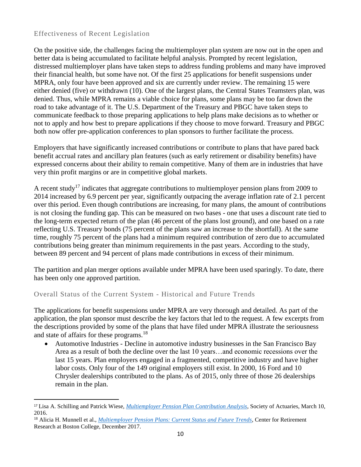# Effectiveness of Recent Legislation

 $\overline{a}$ 

On the positive side, the challenges facing the multiemployer plan system are now out in the open and better data is being accumulated to facilitate helpful analysis. Prompted by recent legislation, distressed multiemployer plans have taken steps to address funding problems and many have improved their financial health, but some have not. Of the first 25 applications for benefit suspensions under MPRA, only four have been approved and six are currently under review. The remaining 15 were either denied (five) or withdrawn (10). One of the largest plans, the Central States Teamsters plan, was denied. Thus, while MPRA remains a viable choice for plans, some plans may be too far down the road to take advantage of it. The U.S. Department of the Treasury and PBGC have taken steps to communicate feedback to those preparing applications to help plans make decisions as to whether or not to apply and how best to prepare applications if they choose to move forward. Treasury and PBGC both now offer pre-application conferences to plan sponsors to further facilitate the process.

Employers that have significantly increased contributions or contribute to plans that have pared back benefit accrual rates and ancillary plan features (such as early retirement or disability benefits) have expressed concerns about their ability to remain competitive. Many of them are in industries that have very thin profit margins or are in competitive global markets.

A recent study<sup>17</sup> indicates that aggregate contributions to multiemployer pension plans from 2009 to 2014 increased by 6.9 percent per year, significantly outpacing the average inflation rate of 2.1 percent over this period. Even though contributions are increasing, for many plans, the amount of contributions is not closing the funding gap. This can be measured on two bases - one that uses a discount rate tied to the long-term expected return of the plan (46 percent of the plans lost ground), and one based on a rate reflecting U.S. Treasury bonds (75 percent of the plans saw an increase to the shortfall). At the same time, roughly 75 percent of the plans had a minimum required contribution of zero due to accumulated contributions being greater than minimum requirements in the past years. According to the study, between 89 percent and 94 percent of plans made contributions in excess of their minimum.

The partition and plan merger options available under MPRA have been used sparingly. To date, there has been only one approved partition.

# Overall Status of the Current System - Historical and Future Trends

The applications for benefit suspensions under MPRA are very thorough and detailed. As part of the application, the plan sponsor must describe the key factors that led to the request. A few excerpts from the descriptions provided by some of the plans that have filed under MPRA illustrate the seriousness and state of affairs for these programs.<sup>18</sup>

 Automotive Industries - Decline in automotive industry businesses in the San Francisco Bay Area as a result of both the decline over the last 10 years…and economic recessions over the last 15 years. Plan employers engaged in a fragmented, competitive industry and have higher labor costs. Only four of the 149 original employers still exist. In 2000, 16 Ford and 10 Chrysler dealerships contributed to the plans. As of 2015, only three of those 26 dealerships remain in the plan.

<sup>17</sup> Lisa A. Schilling and Patrick Wiese, *[Multiemployer Pension Plan Contribution Analysis](https://www.soa.org/Files/Research/research-2016-03-multitmployer-analysis.pdf)*, Society of Actuaries, March 10, 2016.

<sup>18</sup> Alicia H. Munnell et al., *[Multiemployer Pension Plans: Current Status and Future Trends](http://crr.bc.edu/wp-content/uploads/2017/12/multiemployer_specialreport_12_23_2017.pdf)*, Center for Retirement Research at Boston College, December 2017.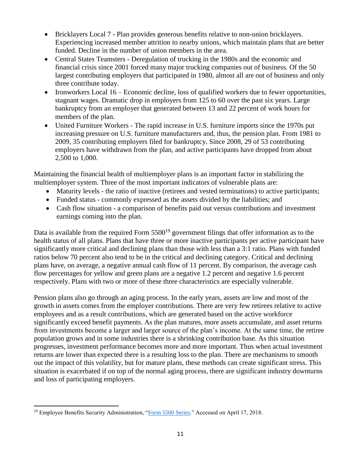- Bricklayers Local 7 Plan provides generous benefits relative to non-union bricklayers. Experiencing increased member attrition to nearby unions, which maintain plans that are better funded. Decline in the number of union members in the area.
- Central States Teamsters Deregulation of trucking in the 1980s and the economic and financial crisis since 2001 forced many major trucking companies out of business. Of the 50 largest contributing employers that participated in 1980, almost all are out of business and only three contribute today.
- Ironworkers Local 16 Economic decline, loss of qualified workers due to fewer opportunities, stagnant wages. Dramatic drop in employers from 125 to 60 over the past six years. Large bankruptcy from an employer that generated between 13 and 22 percent of work hours for members of the plan.
- United Furniture Workers The rapid increase in U.S. furniture imports since the 1970s put increasing pressure on U.S. furniture manufacturers and, thus, the pension plan. From 1981 to 2009, 35 contributing employers filed for bankruptcy. Since 2008, 29 of 53 contributing employers have withdrawn from the plan, and active participants have dropped from about 2,500 to 1,000.

Maintaining the financial health of multiemployer plans is an important factor in stabilizing the multiemployer system. Three of the most important indicators of vulnerable plans are:

- Maturity levels the ratio of inactive (retirees and vested terminations) to active participants;
- Funded status commonly expressed as the assets divided by the liabilities; and
- Cash flow situation a comparison of benefits paid out versus contributions and investment earnings coming into the plan.

Data is available from the required Form  $5500^{19}$  government filings that offer information as to the health status of all plans. Plans that have three or more inactive participants per active participant have significantly more critical and declining plans than those with less than a 3:1 ratio. Plans with funded ratios below 70 percent also tend to be in the critical and declining category. Critical and declining plans have, on average, a negative annual cash flow of 11 percent. By comparison, the average cash flow percentages for yellow and green plans are a negative 1.2 percent and negative 1.6 percent respectively. Plans with two or more of these three characteristics are especially vulnerable.

Pension plans also go through an aging process. In the early years, assets are low and most of the growth in assets comes from the employer contributions. There are very few retirees relative to active employees and as a result contributions, which are generated based on the active workforce significantly exceed benefit payments. As the plan matures, more assets accumulate, and asset returns from investments become a larger and larger source of the plan's income. At the same time, the retiree population grows and in some industries there is a shrinking contribution base. As this situation progresses, investment performance becomes more and more important. Thus when actual investment returns are lower than expected there is a resulting loss to the plan. There are mechanisms to smooth out the impact of this volatility, but for mature plans, these methods can create significant stress. This situation is exacerbated if on top of the normal aging process, there are significant industry downturns and loss of participating employers.

 $\overline{a}$ <sup>19</sup> Employee Benefits Security Administration, ["Form 5500 Series."](https://www.dol.gov/agencies/ebsa/employers-and-advisers/plan-administration-and-compliance/reporting-and-filing/form-5500) Accessed on April 17, 2018.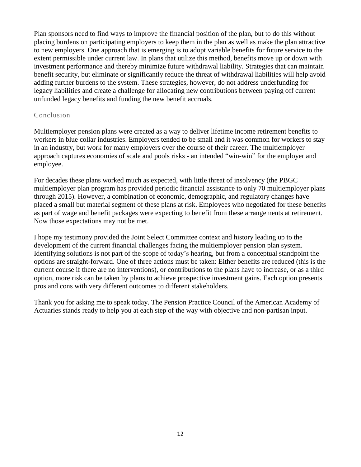Plan sponsors need to find ways to improve the financial position of the plan, but to do this without placing burdens on participating employers to keep them in the plan as well as make the plan attractive to new employers. One approach that is emerging is to adopt variable benefits for future service to the extent permissible under current law. In plans that utilize this method, benefits move up or down with investment performance and thereby minimize future withdrawal liability. Strategies that can maintain benefit security, but eliminate or significantly reduce the threat of withdrawal liabilities will help avoid adding further burdens to the system. These strategies, however, do not address underfunding for legacy liabilities and create a challenge for allocating new contributions between paying off current unfunded legacy benefits and funding the new benefit accruals.

### Conclusion

Multiemployer pension plans were created as a way to deliver lifetime income retirement benefits to workers in blue collar industries. Employers tended to be small and it was common for workers to stay in an industry, but work for many employers over the course of their career. The multiemployer approach captures economies of scale and pools risks - an intended "win-win" for the employer and employee.

For decades these plans worked much as expected, with little threat of insolvency (the PBGC multiemployer plan program has provided periodic financial assistance to only 70 multiemployer plans through 2015). However, a combination of economic, demographic, and regulatory changes have placed a small but material segment of these plans at risk. Employees who negotiated for these benefits as part of wage and benefit packages were expecting to benefit from these arrangements at retirement. Now those expectations may not be met.

I hope my testimony provided the Joint Select Committee context and history leading up to the development of the current financial challenges facing the multiemployer pension plan system. Identifying solutions is not part of the scope of today's hearing, but from a conceptual standpoint the options are straight-forward. One of three actions must be taken: Either benefits are reduced (this is the current course if there are no interventions), or contributions to the plans have to increase, or as a third option, more risk can be taken by plans to achieve prospective investment gains. Each option presents pros and cons with very different outcomes to different stakeholders.

Thank you for asking me to speak today. The Pension Practice Council of the American Academy of Actuaries stands ready to help you at each step of the way with objective and non-partisan input.